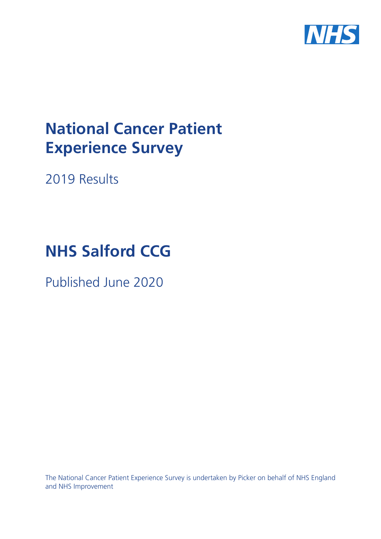

# **National Cancer Patient Experience Survey**

2019 Results

# **NHS Salford CCG**

Published June 2020

The National Cancer Patient Experience Survey is undertaken by Picker on behalf of NHS England and NHS Improvement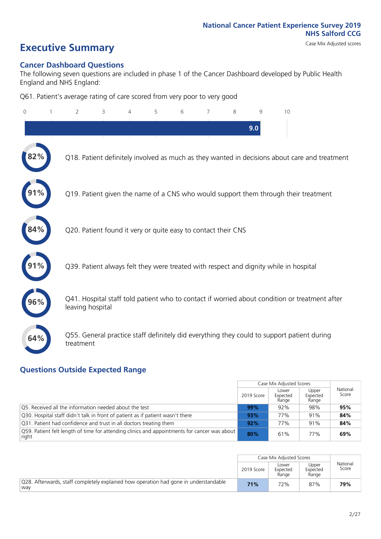# **Executive Summary** Case Mix Adjusted scores

### **Cancer Dashboard Questions**

The following seven questions are included in phase 1 of the Cancer Dashboard developed by Public Health England and NHS England:

Q61. Patient's average rating of care scored from very poor to very good

| $\mathbf{0}$ | $\overline{2}$   | 3                                                             | 4 | 5 | 6 | 7 | 8 | $\mathcal{Q}$ | 10                                                                                            |
|--------------|------------------|---------------------------------------------------------------|---|---|---|---|---|---------------|-----------------------------------------------------------------------------------------------|
|              |                  |                                                               |   |   |   |   |   | 9.0           |                                                                                               |
| 82%          |                  |                                                               |   |   |   |   |   |               | Q18. Patient definitely involved as much as they wanted in decisions about care and treatment |
|              |                  |                                                               |   |   |   |   |   |               | Q19. Patient given the name of a CNS who would support them through their treatment           |
| 84%          |                  | Q20. Patient found it very or quite easy to contact their CNS |   |   |   |   |   |               |                                                                                               |
|              |                  |                                                               |   |   |   |   |   |               | Q39. Patient always felt they were treated with respect and dignity while in hospital         |
| 96%          | leaving hospital |                                                               |   |   |   |   |   |               | Q41. Hospital staff told patient who to contact if worried about condition or treatment after |
| 64%          | treatment        |                                                               |   |   |   |   |   |               | Q55. General practice staff definitely did everything they could to support patient during    |

### **Questions Outside Expected Range**

|                                                                                                       |            | Case Mix Adjusted Scores   |                            |                   |
|-------------------------------------------------------------------------------------------------------|------------|----------------------------|----------------------------|-------------------|
|                                                                                                       | 2019 Score | Lower<br>Expected<br>Range | Upper<br>Expected<br>Range | National<br>Score |
| Q5. Received all the information needed about the test                                                | 99%        | 92%                        | 98%                        | 95%               |
| Q30. Hospital staff didn't talk in front of patient as if patient wasn't there                        | 93%        | 77%                        | 91%                        | 84%               |
| Q31. Patient had confidence and trust in all doctors treating them                                    | 92%        | 77%                        | 91%                        | 84%               |
| O59. Patient felt length of time for attending clinics and appointments for cancer was about<br>right | 80%        | 61%                        | 77%                        | 69%               |

|                                                                                             |            | Case Mix Adjusted Scores   |                            |                   |
|---------------------------------------------------------------------------------------------|------------|----------------------------|----------------------------|-------------------|
|                                                                                             | 2019 Score | Lower<br>Expected<br>Range | Upper<br>Expected<br>Range | National<br>Score |
| Q28. Afterwards, staff completely explained how operation had gone in understandable<br>wav | 71%        | 72%                        | 87%                        | 79%               |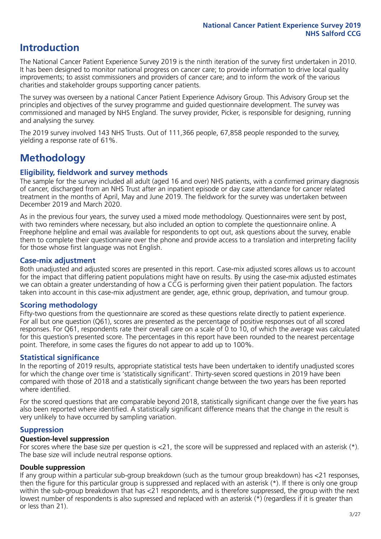# **Introduction**

The National Cancer Patient Experience Survey 2019 is the ninth iteration of the survey first undertaken in 2010. It has been designed to monitor national progress on cancer care; to provide information to drive local quality improvements; to assist commissioners and providers of cancer care; and to inform the work of the various charities and stakeholder groups supporting cancer patients.

The survey was overseen by a national Cancer Patient Experience Advisory Group. This Advisory Group set the principles and objectives of the survey programme and guided questionnaire development. The survey was commissioned and managed by NHS England. The survey provider, Picker, is responsible for designing, running and analysing the survey.

The 2019 survey involved 143 NHS Trusts. Out of 111,366 people, 67,858 people responded to the survey, yielding a response rate of 61%.

# **Methodology**

### **Eligibility, fieldwork and survey methods**

The sample for the survey included all adult (aged 16 and over) NHS patients, with a confirmed primary diagnosis of cancer, discharged from an NHS Trust after an inpatient episode or day case attendance for cancer related treatment in the months of April, May and June 2019. The fieldwork for the survey was undertaken between December 2019 and March 2020.

As in the previous four years, the survey used a mixed mode methodology. Questionnaires were sent by post, with two reminders where necessary, but also included an option to complete the questionnaire online. A Freephone helpline and email was available for respondents to opt out, ask questions about the survey, enable them to complete their questionnaire over the phone and provide access to a translation and interpreting facility for those whose first language was not English.

### **Case-mix adjustment**

Both unadjusted and adjusted scores are presented in this report. Case-mix adjusted scores allows us to account for the impact that differing patient populations might have on results. By using the case-mix adjusted estimates we can obtain a greater understanding of how a CCG is performing given their patient population. The factors taken into account in this case-mix adjustment are gender, age, ethnic group, deprivation, and tumour group.

### **Scoring methodology**

Fifty-two questions from the questionnaire are scored as these questions relate directly to patient experience. For all but one question (Q61), scores are presented as the percentage of positive responses out of all scored responses. For Q61, respondents rate their overall care on a scale of 0 to 10, of which the average was calculated for this question's presented score. The percentages in this report have been rounded to the nearest percentage point. Therefore, in some cases the figures do not appear to add up to 100%.

### **Statistical significance**

In the reporting of 2019 results, appropriate statistical tests have been undertaken to identify unadjusted scores for which the change over time is 'statistically significant'. Thirty-seven scored questions in 2019 have been compared with those of 2018 and a statistically significant change between the two years has been reported where identified.

For the scored questions that are comparable beyond 2018, statistically significant change over the five years has also been reported where identified. A statistically significant difference means that the change in the result is very unlikely to have occurred by sampling variation.

### **Suppression**

### **Question-level suppression**

For scores where the base size per question is  $<$ 21, the score will be suppressed and replaced with an asterisk (\*). The base size will include neutral response options.

### **Double suppression**

If any group within a particular sub-group breakdown (such as the tumour group breakdown) has <21 responses, then the figure for this particular group is suppressed and replaced with an asterisk (\*). If there is only one group within the sub-group breakdown that has <21 respondents, and is therefore suppressed, the group with the next lowest number of respondents is also supressed and replaced with an asterisk (\*) (regardless if it is greater than or less than 21).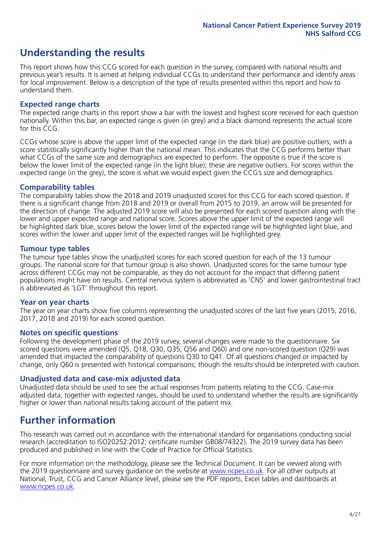# **Understanding the results**

This report shows how this CCG scored for each question in the survey, compared with national results and previous year's results. It is aimed at helping individual CCGs to understand their performance and identify areas for local improvement. Below is a description of the type of results presented within this report and how to understand them.

### **Expected range charts**

The expected range charts in this report show a bar with the lowest and highest score received for each question nationally. Within this bar, an expected range is given (in grey) and a black diamond represents the actual score for this CCG.

CCGs whose score is above the upper limit of the expected range (in the dark blue) are positive outliers, with a score statistically significantly higher than the national mean. This indicates that the CCG performs better than what CCGs of the same size and demographics are expected to perform. The opposite is true if the score is below the lower limit of the expected range (in the light blue); these are negative outliers. For scores within the expected range (in the grey), the score is what we would expect given the CCG's size and demographics.

### **Comparability tables**

The comparability tables show the 2018 and 2019 unadjusted scores for this CCG for each scored question. If there is a significant change from 2018 and 2019 or overall from 2015 to 2019, an arrow will be presented for the direction of change. The adjusted 2019 score will also be presented for each scored question along with the lower and upper expected range and national score. Scores above the upper limit of the expected range will be highlighted dark blue, scores below the lower limit of the expected range will be highlighted light blue, and scores within the lower and upper limit of the expected ranges will be highlighted grey.

### **Tumour type tables**

The tumour type tables show the unadjusted scores for each scored question for each of the 13 tumour groups. The national score for that tumour group is also shown. Unadjusted scores for the same tumour type across different CCGs may not be comparable, as they do not account for the impact that differing patient populations might have on results. Central nervous system is abbreviated as 'CNS' and lower gastrointestinal tract is abbreviated as 'LGT' throughout this report.

### **Year on year charts**

The year on year charts show five columns representing the unadjusted scores of the last five years (2015, 2016, 2017, 2018 and 2019) for each scored question.

#### **Notes on specific questions**

Following the development phase of the 2019 survey, several changes were made to the questionnaire. Six scored questions were amended (Q5, Q18, Q30, Q35, Q56 and Q60) and one non-scored question (Q29) was amended that impacted the comparability of questions Q30 to Q41. Of all questions changed or impacted by change, only Q60 is presented with historical comparisons; though the results should be interpreted with caution.

### **Unadjusted data and case-mix adjusted data**

Unadjusted data should be used to see the actual responses from patients relating to the CCG. Case-mix adjusted data, together with expected ranges, should be used to understand whether the results are significantly higher or lower than national results taking account of the patient mix.

### **Further information**

This research was carried out in accordance with the international standard for organisations conducting social research (accreditation to ISO20252:2012; certificate number GB08/74322). The 2019 survey data has been produced and published in line with the Code of Practice for Official Statistics.

For more information on the methodology, please see the Technical Document. It can be viewed along with the 2019 questionnaire and survey quidance on the website at [www.ncpes.co.uk](https://www.ncpes.co.uk/supporting-documents). For all other outputs at National, Trust, CCG and Cancer Alliance level, please see the PDF reports, Excel tables and dashboards at [www.ncpes.co.uk.](https://www.ncpes.co.uk/current-results)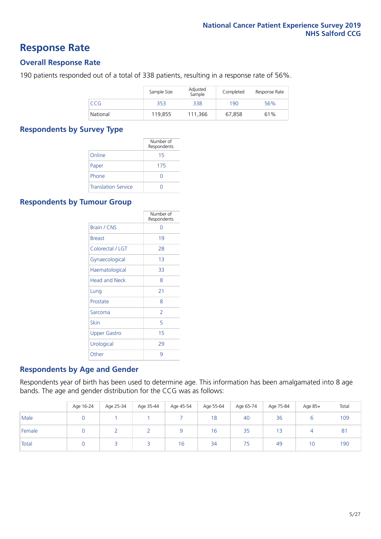### **Response Rate**

### **Overall Response Rate**

190 patients responded out of a total of 338 patients, resulting in a response rate of 56%.

|          | Sample Size | Adjusted<br>Sample | Completed | Response Rate |
|----------|-------------|--------------------|-----------|---------------|
| CCG      | 353         | 338                | 190       | 56%           |
| National | 119,855     | 111.366            | 67,858    | 61%           |

### **Respondents by Survey Type**

|                            | Number of<br>Respondents |
|----------------------------|--------------------------|
| Online                     | 15                       |
| Paper                      | 175                      |
| Phone                      | $\left( \right)$         |
| <b>Translation Service</b> |                          |

### **Respondents by Tumour Group**

|                      | Number of<br>Respondents |
|----------------------|--------------------------|
| <b>Brain / CNS</b>   | ∩                        |
| <b>Breast</b>        | 19                       |
| Colorectal / LGT     | 28                       |
| Gynaecological       | 13                       |
| Haematological       | 33                       |
| <b>Head and Neck</b> | 8                        |
| Lung                 | 21                       |
| Prostate             | 8                        |
| Sarcoma              | 2                        |
| Skin                 | 5                        |
| <b>Upper Gastro</b>  | 15                       |
| Urological           | 29                       |
| Other                | 9                        |

### **Respondents by Age and Gender**

Respondents year of birth has been used to determine age. This information has been amalgamated into 8 age bands. The age and gender distribution for the CCG was as follows:

|        | Age 16-24 | Age 25-34 | Age 35-44 | Age 45-54 | Age 55-64 | Age 65-74 | Age 75-84 | Age 85+ | Total          |
|--------|-----------|-----------|-----------|-----------|-----------|-----------|-----------|---------|----------------|
| Male   |           |           |           |           | 18        | 40        | 36        |         | 109            |
| Female |           |           |           |           | 16        | 35        |           |         | 8 <sup>1</sup> |
| Total  |           |           |           | 16        | 34        | 75        | 49        | 10      | 190            |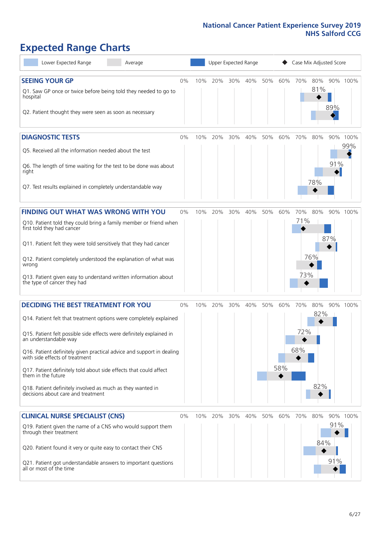# **Expected Range Charts**

| Lower Expected Range<br>Average                                                                                                                                                                                                                                                                                                                                                                                                                                                                                             |    |     | Upper Expected Range |     |     |     |            | Case Mix Adjusted Score |                   |            |                 |
|-----------------------------------------------------------------------------------------------------------------------------------------------------------------------------------------------------------------------------------------------------------------------------------------------------------------------------------------------------------------------------------------------------------------------------------------------------------------------------------------------------------------------------|----|-----|----------------------|-----|-----|-----|------------|-------------------------|-------------------|------------|-----------------|
| <b>SEEING YOUR GP</b><br>Q1. Saw GP once or twice before being told they needed to go to<br>hospital<br>Q2. Patient thought they were seen as soon as necessary                                                                                                                                                                                                                                                                                                                                                             | 0% | 10% | 20%                  | 30% | 40% | 50% | 60%        | 70%                     | 80%<br>81%        | 89%        | 90% 100%        |
| <b>DIAGNOSTIC TESTS</b><br>Q5. Received all the information needed about the test<br>Q6. The length of time waiting for the test to be done was about<br>right<br>Q7. Test results explained in completely understandable way                                                                                                                                                                                                                                                                                               | 0% | 10% | 20%                  | 30% | 40% | 50% | 60%        | 70%                     | 80%<br>78%        | 91%        | 90% 100%<br>99% |
| <b>FINDING OUT WHAT WAS WRONG WITH YOU</b><br>Q10. Patient told they could bring a family member or friend when<br>first told they had cancer<br>Q11. Patient felt they were told sensitively that they had cancer<br>Q12. Patient completely understood the explanation of what was<br>wrong<br>Q13. Patient given easy to understand written information about<br>the type of cancer they had                                                                                                                             | 0% | 10% | 20%                  | 30% | 40% | 50% | 60%        | 70%<br>71%<br>73%       | 80%<br>76%        | 87%        | 90% 100%        |
| <b>DECIDING THE BEST TREATMENT FOR YOU</b><br>Q14. Patient felt that treatment options were completely explained<br>Q15. Patient felt possible side effects were definitely explained in<br>an understandable way<br>Q16. Patient definitely given practical advice and support in dealing<br>with side effects of treatment<br>Q17. Patient definitely told about side effects that could affect<br>them in the future<br>Q18. Patient definitely involved as much as they wanted in<br>decisions about care and treatment | 0% | 10% | 20%                  | 30% | 40% | 50% | 60%<br>58% | 70%<br>72%<br>68%       | 80%<br>82%<br>82% |            | 90% 100%        |
| <b>CLINICAL NURSE SPECIALIST (CNS)</b><br>Q19. Patient given the name of a CNS who would support them<br>through their treatment<br>Q20. Patient found it very or quite easy to contact their CNS<br>Q21. Patient got understandable answers to important questions<br>all or most of the time                                                                                                                                                                                                                              | 0% |     | 10% 20%              | 30% | 40% | 50% | 60%        | 70%                     | 80%<br>84%        | 91%<br>91% | 90% 100%        |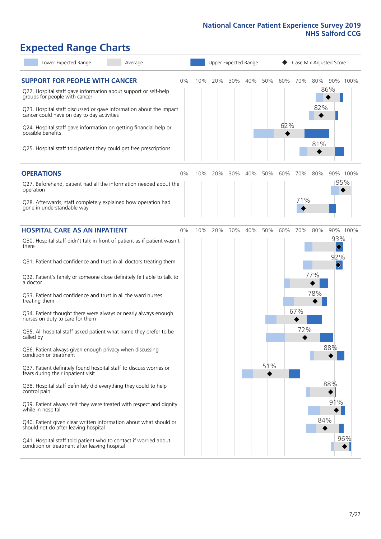# **Expected Range Charts**

| Lower Expected Range<br>Average                                                                                                                                                                                 |    | Upper Expected Range |     |     |     |     | Case Mix Adjusted Score |     |            |                               |  |
|-----------------------------------------------------------------------------------------------------------------------------------------------------------------------------------------------------------------|----|----------------------|-----|-----|-----|-----|-------------------------|-----|------------|-------------------------------|--|
| <b>SUPPORT FOR PEOPLE WITH CANCER</b><br>Q22. Hospital staff gave information about support or self-help<br>groups for people with cancer<br>Q23. Hospital staff discussed or gave information about the impact | 0% | 10%                  | 20% | 30% | 40% | 50% | 60% 70%                 |     | 80%<br>82% | 90% 100%<br>86%               |  |
| cancer could have on day to day activities<br>Q24. Hospital staff gave information on getting financial help or<br>possible benefits<br>Q25. Hospital staff told patient they could get free prescriptions      |    |                      |     |     |     |     | 62%                     |     | 81%        |                               |  |
| <b>OPERATIONS</b>                                                                                                                                                                                               | 0% | 10%                  | 20% | 30% | 40% | 50% | 60%                     | 70% | 80%        | 90% 100%                      |  |
| Q27. Beforehand, patient had all the information needed about the<br>operation                                                                                                                                  |    |                      |     |     |     |     |                         |     |            | 95%                           |  |
| Q28. Afterwards, staff completely explained how operation had<br>gone in understandable way                                                                                                                     |    |                      |     |     |     |     |                         | 71% |            |                               |  |
| <b>HOSPITAL CARE AS AN INPATIENT</b>                                                                                                                                                                            | 0% | 10%                  | 20% | 30% | 40% | 50% | 60%                     | 70% | 80%        | 90% 100%                      |  |
| Q30. Hospital staff didn't talk in front of patient as if patient wasn't<br>there                                                                                                                               |    |                      |     |     |     |     |                         |     |            | 93%<br>$\blacklozenge$        |  |
| Q31. Patient had confidence and trust in all doctors treating them                                                                                                                                              |    |                      |     |     |     |     |                         |     |            | 92%<br>$\color{blue}\diamond$ |  |
| Q32. Patient's family or someone close definitely felt able to talk to<br>a doctor                                                                                                                              |    |                      |     |     |     |     |                         |     | 77%        |                               |  |
| Q33. Patient had confidence and trust in all the ward nurses<br>treating them                                                                                                                                   |    |                      |     |     |     |     |                         |     | 78%        |                               |  |
| Q34. Patient thought there were always or nearly always enough<br>nurses on duty to care for them                                                                                                               |    |                      |     |     |     |     |                         | 67% |            |                               |  |
| Q35. All hospital staff asked patient what name they prefer to be<br>called by                                                                                                                                  |    |                      |     |     |     |     |                         | 72% |            |                               |  |
| Q36. Patient always given enough privacy when discussing<br>condition or treatment                                                                                                                              |    |                      |     |     |     |     |                         |     |            | 88%                           |  |
| Q37. Patient definitely found hospital staff to discuss worries or<br>fears during their inpatient visit                                                                                                        |    |                      |     |     |     | 51% |                         |     |            |                               |  |
| Q38. Hospital staff definitely did everything they could to help<br>control pain                                                                                                                                |    |                      |     |     |     |     |                         |     |            | 88%                           |  |
| Q39. Patient always felt they were treated with respect and dignity<br>while in hospital                                                                                                                        |    |                      |     |     |     |     |                         |     |            | 91%                           |  |
| Q40. Patient given clear written information about what should or<br>should not do after leaving hospital                                                                                                       |    |                      |     |     |     |     |                         |     | 84%        |                               |  |
| Q41. Hospital staff told patient who to contact if worried about<br>condition or treatment after leaving hospital                                                                                               |    |                      |     |     |     |     |                         |     |            | 96%                           |  |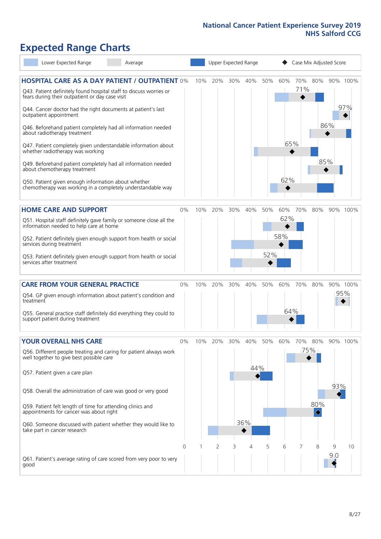# **Expected Range Charts**

| Lower Expected Range<br>Average                                                                                                                                                                                                                                                                                                                                                                                                                                                                                                                                                                                                                                                                        |          |     |     | Upper Expected Range |                   |            |                   |            |                   | Case Mix Adjusted Score |                 |
|--------------------------------------------------------------------------------------------------------------------------------------------------------------------------------------------------------------------------------------------------------------------------------------------------------------------------------------------------------------------------------------------------------------------------------------------------------------------------------------------------------------------------------------------------------------------------------------------------------------------------------------------------------------------------------------------------------|----------|-----|-----|----------------------|-------------------|------------|-------------------|------------|-------------------|-------------------------|-----------------|
| <b>HOSPITAL CARE AS A DAY PATIENT / OUTPATIENT 0%</b><br>Q43. Patient definitely found hospital staff to discuss worries or<br>fears during their outpatient or day case visit<br>Q44. Cancer doctor had the right documents at patient's last<br>outpatient appointment<br>Q46. Beforehand patient completely had all information needed<br>about radiotherapy treatment<br>Q47. Patient completely given understandable information about<br>whether radiotherapy was working<br>Q49. Beforehand patient completely had all information needed<br>about chemotherapy treatment<br>Q50. Patient given enough information about whether<br>chemotherapy was working in a completely understandable way |          | 10% | 20% | 30%                  | 40%               | 50%        | 60%<br>65%<br>62% | 70%<br>71% | 80%<br>85%        | 86%                     | 90% 100%<br>97% |
| <b>HOME CARE AND SUPPORT</b><br>Q51. Hospital staff definitely gave family or someone close all the<br>information needed to help care at home<br>Q52. Patient definitely given enough support from health or social<br>services during treatment<br>Q53. Patient definitely given enough support from health or social<br>services after treatment                                                                                                                                                                                                                                                                                                                                                    | 0%       | 10% | 20% | 30%                  | 40%               | 50%<br>52% | 60%<br>62%<br>58% | 70%        | 80%               |                         | 90% 100%        |
| <b>CARE FROM YOUR GENERAL PRACTICE</b><br>Q54. GP given enough information about patient's condition and<br>treatment<br>Q55. General practice staff definitely did everything they could to<br>support patient during treatment                                                                                                                                                                                                                                                                                                                                                                                                                                                                       | 0%       | 10% | 20% | 30%                  | 40%               | 50%        | 60%<br>64%        | 70%        | 80%               | 95%                     | 90% 100%        |
| <b>YOUR OVERALL NHS CARE</b><br>Q56. Different people treating and caring for patient always work<br>well together to give best possible care<br>Q57. Patient given a care plan<br>Q58. Overall the administration of care was good or very good<br>Q59. Patient felt length of time for attending clinics and<br>appointments for cancer was about right<br>Q60. Someone discussed with patient whether they would like to<br>take part in cancer research                                                                                                                                                                                                                                            | 0%       | 10% | 20% | 30%                  | 40%<br>44%<br>36% | 50%        | 60%               | 70%        | 80%<br>75%<br>80% | 93%                     | 90% 100%        |
| Q61. Patient's average rating of care scored from very poor to very<br>good                                                                                                                                                                                                                                                                                                                                                                                                                                                                                                                                                                                                                            | $\Omega$ |     | 2   | 3                    | 4                 | 5          | 6                 | 7          | 8                 | 9<br>9.0                | 10              |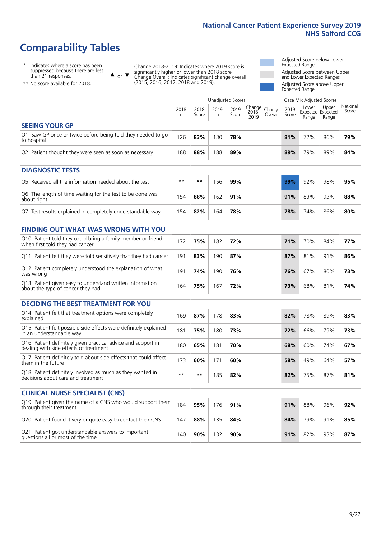# **Comparability Tables**

\* Indicates where a score has been suppressed because there are less than 21 responses.

\*\* No score available for 2018.

 $\triangle$  or  $\nabla$ 

Change 2018-2019: Indicates where 2019 score is significantly higher or lower than 2018 score Change Overall: Indicates significant change overall (2015, 2016, 2017, 2018 and 2019).

Adjusted Score below Lower Expected Range Adjusted Score between Upper and Lower Expected Ranges Adjusted Score above Upper

Expected Range

|                                                                             |           |               | Unadjusted Scores |               |                                                     |         |               | Case Mix Adjusted Scores |                                     |                   |
|-----------------------------------------------------------------------------|-----------|---------------|-------------------|---------------|-----------------------------------------------------|---------|---------------|--------------------------|-------------------------------------|-------------------|
|                                                                             | 2018<br>n | 2018<br>Score | 2019<br>n         | 2019<br>Score | $\sqrt{(\text{Change})}$ Change<br>$2018 -$<br>2019 | Overall | 2019<br>Score | Lower<br>Range           | Upper<br>Expected Expected<br>Range | National<br>Score |
| <b>SEEING YOUR GP</b>                                                       |           |               |                   |               |                                                     |         |               |                          |                                     |                   |
| Q1. Saw GP once or twice before being told they needed to go<br>to hospital | 126       | 83%           | 130               | 78%           |                                                     |         | 81%           | 72%                      | 86%                                 | 79%               |
| Q2. Patient thought they were seen as soon as necessary                     | 188       | 88%           | 188               | 89%           |                                                     |         | 89%           | 79%                      | 89%                                 | 84%               |
| <b>DIAGNOSTIC TESTS</b>                                                     |           |               |                   |               |                                                     |         |               |                          |                                     |                   |

| Q5. Received all the information needed about the test                    | $**$ | **  | 56  | 99% |  | <b>99%</b> | 92% | 98% | 95% |
|---------------------------------------------------------------------------|------|-----|-----|-----|--|------------|-----|-----|-----|
| Q6. The length of time waiting for the test to be done was<br>about right | 154  | 88% | 162 | 91% |  | 91%        | 83% | 93% | 88% |
| Q7. Test results explained in completely understandable way               | 154  | 82% | 164 | 78% |  | 78%        | 74% | 86% | 80% |

| <b>FINDING OUT WHAT WAS WRONG WITH YOU</b>                                                      |     |     |     |     |     |     |     |     |
|-------------------------------------------------------------------------------------------------|-----|-----|-----|-----|-----|-----|-----|-----|
| Q10. Patient told they could bring a family member or friend<br>when first told they had cancer | 172 | 75% | 182 | 72% | 71% | 70% | 84% | 77% |
| Q11. Patient felt they were told sensitively that they had cancer                               | 191 | 83% | 190 | 87% | 87% | 81% | 91% | 86% |
| Q12. Patient completely understood the explanation of what<br>was wrong                         | 191 | 74% | 190 | 76% | 76% | 67% | 80% | 73% |
| Q13. Patient given easy to understand written information<br>about the type of cancer they had  | 164 | 75% | 67  | 72% | 73% | 68% | 81% | 74% |

| <b>DECIDING THE BEST TREATMENT FOR YOU</b>                                                              |      |     |     |     |  |     |     |     |     |
|---------------------------------------------------------------------------------------------------------|------|-----|-----|-----|--|-----|-----|-----|-----|
| Q14. Patient felt that treatment options were completely<br>explained                                   | 169  | 87% | 178 | 83% |  | 82% | 78% | 89% | 83% |
| Q15. Patient felt possible side effects were definitely explained<br>in an understandable way           | 181  | 75% | 180 | 73% |  | 72% | 66% | 79% | 73% |
| Q16. Patient definitely given practical advice and support in<br>dealing with side effects of treatment | 180  | 65% | 181 | 70% |  | 68% | 60% | 74% | 67% |
| Q17. Patient definitely told about side effects that could affect<br>them in the future                 | 173  | 60% | 171 | 60% |  | 58% | 49% | 64% | 57% |
| Q18. Patient definitely involved as much as they wanted in<br>decisions about care and treatment        | $**$ | **  | 185 | 82% |  | 82% | 75% | 87% | 81% |

| <b>CLINICAL NURSE SPECIALIST (CNS)</b>                                                    |     |     |     |     |     |     |     |     |
|-------------------------------------------------------------------------------------------|-----|-----|-----|-----|-----|-----|-----|-----|
| Q19. Patient given the name of a CNS who would support them<br>through their treatment    | 184 | 95% | 176 | 91% | 91% | 88% | 96% | 92% |
| Q20. Patient found it very or quite easy to contact their CNS                             | 147 | 88% | 135 | 84% | 84% | 79% | 91% | 85% |
| Q21. Patient got understandable answers to important<br>questions all or most of the time | 40  | 90% | 132 | 90% | 91% | 82% | 93% | 87% |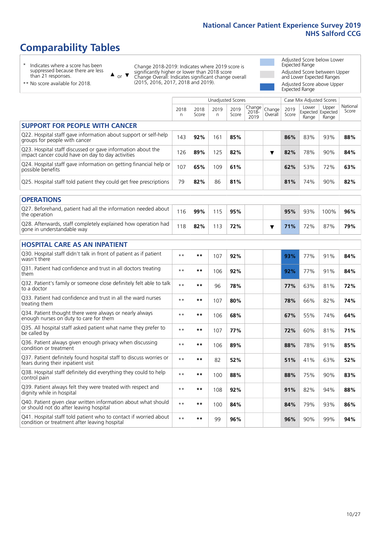# **Comparability Tables**

\* Indicates where a score has been suppressed because there are less than 21 responses.

\*\* No score available for 2018.

 $\triangle$  or  $\nabla$ 

Change 2018-2019: Indicates where 2019 score is significantly higher or lower than 2018 score Change Overall: Indicates significant change overall (2015, 2016, 2017, 2018 and 2019).

Adjusted Score below Lower Expected Range Adjusted Score between Upper and Lower Expected Ranges Adjusted Score above Upper Expected Range

|                                                                                                                   |              |               | <b>Unadjusted Scores</b> |               |                         |                   |               | Case Mix Adjusted Scores |                                     |                   |
|-------------------------------------------------------------------------------------------------------------------|--------------|---------------|--------------------------|---------------|-------------------------|-------------------|---------------|--------------------------|-------------------------------------|-------------------|
|                                                                                                                   | 2018<br>n    | 2018<br>Score | 2019<br>n.               | 2019<br>Score | Change<br>2018-<br>2019 | Change<br>Overall | 2019<br>Score | Lower<br>Range           | Upper<br>Expected Expected<br>Range | National<br>Score |
| <b>SUPPORT FOR PEOPLE WITH CANCER</b>                                                                             |              |               |                          |               |                         |                   |               |                          |                                     |                   |
| Q22. Hospital staff gave information about support or self-help<br>groups for people with cancer                  | 143          | 92%           | 161                      | 85%           |                         |                   | 86%           | 83%                      | 93%                                 | 88%               |
| Q23. Hospital staff discussed or gave information about the<br>impact cancer could have on day to day activities  | 126          | 89%           | 125                      | 82%           |                         | ▼                 | 82%           | 78%                      | 90%                                 | 84%               |
| Q24. Hospital staff gave information on getting financial help or<br>possible benefits                            | 107          | 65%           | 109                      | 61%           |                         |                   | 62%           | 53%                      | 72%                                 | 63%               |
| Q25. Hospital staff told patient they could get free prescriptions                                                | 79           | 82%           | 86                       | 81%           |                         |                   | 81%           | 74%                      | 90%                                 | 82%               |
| <b>OPERATIONS</b>                                                                                                 |              |               |                          |               |                         |                   |               |                          |                                     |                   |
| Q27. Beforehand, patient had all the information needed about<br>the operation                                    | 116          | 99%           | 115                      | 95%           |                         |                   | 95%           | 93%                      | 100%                                | 96%               |
| Q28. Afterwards, staff completely explained how operation had<br>gone in understandable way                       | 118          | 82%           | 113                      | 72%           |                         | ▼                 | 71%           | 72%                      | 87%                                 | 79%               |
| <b>HOSPITAL CARE AS AN INPATIENT</b>                                                                              |              |               |                          |               |                         |                   |               |                          |                                     |                   |
| Q30. Hospital staff didn't talk in front of patient as if patient<br>wasn't there                                 | $**$         | **            | 107                      | 92%           |                         |                   | 93%           | 77%                      | 91%                                 | 84%               |
| Q31. Patient had confidence and trust in all doctors treating<br>them                                             | $**$         | $***$         | 106                      | 92%           |                         |                   | 92%           | 77%                      | 91%                                 | 84%               |
| Q32. Patient's family or someone close definitely felt able to talk<br>to a doctor                                | $* *$        | **            | 96                       | 78%           |                         |                   | 77%           | 63%                      | 81%                                 | 72%               |
| O33. Patient had confidence and trust in all the ward nurses<br>treating them                                     | $**$         | **            | 107                      | 80%           |                         |                   | 78%           | 66%                      | 82%                                 | 74%               |
| Q34. Patient thought there were always or nearly always<br>enough nurses on duty to care for them                 | $\star\star$ | **            | 106                      | 68%           |                         |                   | 67%           | 55%                      | 74%                                 | 64%               |
| Q35. All hospital staff asked patient what name they prefer to<br>be called by                                    | $* *$        | $***$         | 107                      | 77%           |                         |                   | 72%           | 60%                      | 81%                                 | 71%               |
| Q36. Patient always given enough privacy when discussing<br>condition or treatment                                | $**$         | $***$         | 106                      | 89%           |                         |                   | 88%           | 78%                      | 91%                                 | 85%               |
| Q37. Patient definitely found hospital staff to discuss worries or<br>fears during their inpatient visit          | $**$         | **            | 82                       | 52%           |                         |                   | 51%           | 41%                      | 63%                                 | 52%               |
| Q38. Hospital staff definitely did everything they could to help<br>control pain                                  | $\star\star$ | $***$         | 100                      | 88%           |                         |                   | 88%           | 75%                      | 90%                                 | 83%               |
| Q39. Patient always felt they were treated with respect and<br>dignity while in hospital                          | $**$         | **            | 108                      | 92%           |                         |                   | 91%           | 82%                      | 94%                                 | 88%               |
| Q40. Patient given clear written information about what should<br>or should not do after leaving hospital         | $**$         | $***$         | 100                      | 84%           |                         |                   | 84%           | 79%                      | 93%                                 | 86%               |
| Q41. Hospital staff told patient who to contact if worried about<br>condition or treatment after leaving hospital | $**$         | **            | 99                       | 96%           |                         |                   | 96%           | 90%                      | 99%                                 | 94%               |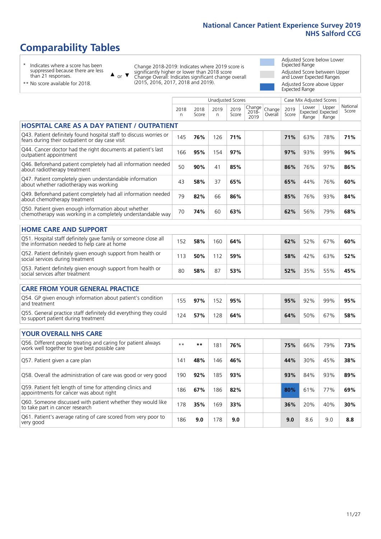# **Comparability Tables**

\* Indicates where a score has been suppressed because there are less than 21 responses.

\*\* No score available for 2018.

or  $\blacktriangledown$  $\blacktriangle$ 

Change 2018-2019: Indicates where 2019 score is significantly higher or lower than 2018 score Change Overall: Indicates significant change overall (2015, 2016, 2017, 2018 and 2019).

Adjusted Score below Lower Expected Range Adjusted Score between Upper and Lower Expected Ranges Adjusted Score above Upper

> National Score

|                                                                                                                       | Expected Range |               |            |                          |                         |                   |               |                          |                                     |                              |  |  |
|-----------------------------------------------------------------------------------------------------------------------|----------------|---------------|------------|--------------------------|-------------------------|-------------------|---------------|--------------------------|-------------------------------------|------------------------------|--|--|
|                                                                                                                       |                |               |            | <b>Unadjusted Scores</b> |                         |                   |               | Case Mix Adjusted Scores |                                     |                              |  |  |
|                                                                                                                       | 2018<br>n      | 2018<br>Score | 2019<br>n. | 2019<br>Score            | Change<br>2018-<br>2019 | Change<br>Overall | 2019<br>Score | Lower<br>Range           | Upper<br>Expected Expected<br>Range | Nation <sub>®</sub><br>Score |  |  |
| <b>HOSPITAL CARE AS A DAY PATIENT / OUTPATIENT</b>                                                                    |                |               |            |                          |                         |                   |               |                          |                                     |                              |  |  |
| Q43. Patient definitely found hospital staff to discuss worries or<br>fears during their outpatient or day case visit | 145            | 76%           | 126        | 71%                      |                         |                   | 71%           | 63%                      | 78%                                 | 71%                          |  |  |
| Q44. Cancer doctor had the right documents at patient's last<br>outpatient appointment                                | 166            | 95%           | 154        | 97%                      |                         |                   | 97%           | 93%                      | 99%                                 | 96%                          |  |  |
| Q46. Beforehand patient completely had all information needed<br>about radiotherapy treatment                         | 50             | 90%           | 41         | 85%                      |                         |                   | 86%           | 76%                      | 97%                                 | 86%                          |  |  |
| Q47. Patient completely given understandable information<br>about whether radiotherapy was working                    | 43             | 58%           | 37         | 65%                      |                         |                   | 65%           | 44%                      | 76%                                 | 60%                          |  |  |
| Q49. Beforehand patient completely had all information needed<br>about chemotherapy treatment                         | 79             | 82%           | 66         | 86%                      |                         |                   | 85%           | 76%                      | 93%                                 | 84%                          |  |  |
| Q50. Patient given enough information about whether<br>chemotherapy was working in a completely understandable way    | 70             | 74%           | 60         | 63%                      |                         |                   | 62%           | 56%                      | 79%                                 | 68%                          |  |  |
| <b>HOME CARE AND SUPPORT</b>                                                                                          |                |               |            |                          |                         |                   |               |                          |                                     |                              |  |  |
| Q51. Hospital staff definitely gave family or someone close all<br>the information needed to help care at home        | 152            | 58%           | 160        | 64%                      |                         |                   | 62%           | 52%                      | 67%                                 | 60%                          |  |  |
| Q52. Patient definitely given enough support from health or<br>social services during treatment                       | 113            | 50%           | 112        | 59%                      |                         |                   | 58%           | 42%                      | 63%                                 | 52%                          |  |  |
| Q53. Patient definitely given enough support from health or<br>social services after treatment                        | 80             | 58%           | 87         | 53%                      |                         |                   | 52%           | 35%                      | 55%                                 | 45%                          |  |  |
| <b>CARE FROM YOUR GENERAL PRACTICE</b>                                                                                |                |               |            |                          |                         |                   |               |                          |                                     |                              |  |  |
| Q54. GP given enough information about patient's condition<br>and treatment                                           | 155            | 97%           | 152        | 95%                      |                         |                   | 95%           | 92%                      | 99%                                 | 95%                          |  |  |
| Q55. General practice staff definitely did everything they could<br>to support patient during treatment               | 124            | 57%           | 128        | 64%                      |                         |                   | 64%           | 50%                      | 67%                                 | 58%                          |  |  |
| <b>YOUR OVERALL NHS CARE</b>                                                                                          |                |               |            |                          |                         |                   |               |                          |                                     |                              |  |  |
| Q56. Different people treating and caring for patient always<br>work well together to give best possible care         | $***$          | $***$         | 181        | 76%                      |                         |                   | 75%           | 66%                      | 79%                                 | 73%                          |  |  |
| Q57. Patient given a care plan                                                                                        | 141            | 48%           | 146        | 46%                      |                         |                   | 44%           | 30%                      | 45%                                 | 38%                          |  |  |

| WOLK WOLF LOGGETICE TO GIVE DOST POSSIBILE CATCH                                                      |     |     |     |     |     |     |     |     |
|-------------------------------------------------------------------------------------------------------|-----|-----|-----|-----|-----|-----|-----|-----|
| Q57. Patient given a care plan                                                                        | 141 | 48% | 146 | 46% | 44% | 30% | 45% | 38% |
| Q58. Overall the administration of care was good or very good                                         | 190 | 92% | 185 | 93% | 93% | 84% | 93% | 89% |
| Q59. Patient felt length of time for attending clinics and<br>appointments for cancer was about right | 186 | 67% | 186 | 82% | 80% | 61% | 77% | 69% |
| Q60. Someone discussed with patient whether they would like<br>to take part in cancer research        | 178 | 35% | 169 | 33% | 36% | 20% | 40% | 30% |
| Q61. Patient's average rating of care scored from very poor to<br>very good                           | 186 | 9.0 | 178 | 9.0 | 9.0 | 8.6 | 9.0 | 8.8 |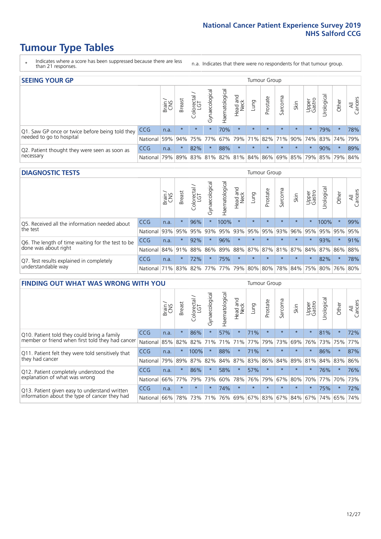- \* Indicates where a score has been suppressed because there are less than 21 responses.
- n.a. Indicates that there were no respondents for that tumour group.

| <b>SEEING YOUR GP</b>                           |            |              |               |             |                    |                |                                         |         | Tumour Group |         |         |                 |                                     |         |                |
|-------------------------------------------------|------------|--------------|---------------|-------------|--------------------|----------------|-----------------------------------------|---------|--------------|---------|---------|-----------------|-------------------------------------|---------|----------------|
|                                                 |            | Brain<br>CNS | <b>Breast</b> | Colorectal  | ᠊ᢛ<br>Gynaecologic | Haematological | Head and<br>Neck                        | Lung    | Prostate     | Sarcoma | Skin    | Upper<br>Gastro | $\sigma$<br>Jrologica               | Other   | All<br>Cancers |
| Q1. Saw GP once or twice before being told they | <b>CCG</b> | n.a.         | $\star$       | $\star$     | $\star$            | 70%            | $\star$                                 | $\star$ | $\star$      | $\star$ | $\star$ | $\star$         | 79%                                 | $\star$ | 78%            |
| needed to go to hospital                        | National   | 59%          |               | 94% 75% 77% |                    |                |                                         |         |              |         |         |                 | 67% 79% 71% 82% 71% 90% 74% 83% 74% |         | 79%            |
| Q2. Patient thought they were seen as soon as   | <b>CCG</b> | n.a.         | $\star$       | 82%         | $\star$            | 88%            | $\star$                                 | $\star$ | $\star$      | $\star$ | $\star$ | $\star$         | 90%                                 | $\star$ | 89%            |
| necessary                                       | National   | 79%          |               |             |                    |                | 89% 83% 81% 82% 81% 84% 86% 69% 85% 79% |         |              |         |         |                 |                                     | 85% 79% | 84%            |

#### **DIAGNOSTIC TESTS** Tumour Group

|                                                   |              | Brain | <b>Breast</b> | Colorectal<br>LGT | $\overline{\sigma}$<br>Gynaecologic | Haematological | Head and<br>Neck | Lung    | Prostate | Sarcoma | Skin    | Upper<br>Gastro | Irologica                                           | Other   | All<br>Cancers |
|---------------------------------------------------|--------------|-------|---------------|-------------------|-------------------------------------|----------------|------------------|---------|----------|---------|---------|-----------------|-----------------------------------------------------|---------|----------------|
| Q5. Received all the information needed about     | <b>CCG</b>   | n.a.  |               | 96%               |                                     | 100%           | $\star$          | $\star$ | $\star$  | $\star$ | $\star$ |                 | 100%                                                | $\star$ | 99%            |
| the test                                          | National     | 93%   | 95%           | 95%               | 93%                                 | 95%            |                  | 93% 95% | 95%      | 93%     | 96%     | 95%             | 95%                                                 | 95%     | 95%            |
| Q6. The length of time waiting for the test to be | <b>CCG</b>   | n.a.  | 头             | 92%               | $\star$                             | 96%            | $\star$          | $\star$ | $\star$  | $\star$ | $\star$ | $\star$         | 93%                                                 | $\star$ | 91%            |
| done was about right                              | National 84% |       | 91%           | 88%               |                                     |                |                  |         |          |         |         |                 | 86% 89% 88% 87% 87% 81% 87% 84% 87% 86% 88%         |         |                |
| Q7. Test results explained in completely          | <b>CCG</b>   | n.a.  | $\star$       | 72%               |                                     | 75%            | $\star$          | $\star$ | $\star$  | $\star$ | $\star$ | $\star$         | 82%                                                 | $\star$ | 78%            |
| understandable way                                | National 71% |       |               |                   |                                     |                |                  |         |          |         |         |                 | 83% 82% 77% 77% 79% 80% 80% 78% 84% 75% 80% 76% 80% |         |                |

| <b>FINDING OUT WHAT WAS WRONG WITH YOU</b>        |            |       |               |                 |                |                |                        |             | <b>Tumour Group</b> |         |         |                 |           |         |                |
|---------------------------------------------------|------------|-------|---------------|-----------------|----------------|----------------|------------------------|-------------|---------------------|---------|---------|-----------------|-----------|---------|----------------|
|                                                   |            | Brain | <b>Breast</b> | ╮<br>Colorectal | Gynaecological | Haematological | ad and<br>Neck<br>Head | Lung        | Prostate            | Sarcoma | Skin    | Upper<br>Gastro | Jrologica | Other   | All<br>Cancers |
| Q10. Patient told they could bring a family       | <b>CCG</b> | n.a.  | $\star$       | 86%             | $\star$        | 57%            | $\star$                | 71%         | $\star$             | $\star$ | $\star$ | $\star$         | 81%       | $\star$ | 72%            |
| member or friend when first told they had cancer  | National   | 85%   | 82%           | 82%             | 71%            | 71%            | 71%                    | 77%         | 79%                 | 73%     | 69%     | 76%             | 73% 75%   |         | 77%            |
| Q11. Patient felt they were told sensitively that | CCG        | n.a.  | $\star$       | 100%            | $\star$        | 88%            | $\star$                | 71%         | $\star$             | $\star$ | $\star$ | $\star$         | 86%       | $\star$ | 87%            |
| they had cancer                                   | National   | 79%   | 89%           | 87%             | 82%            | 84%            | 87%                    | 83%         | 86%                 | 84%     | 89%     | 81%             | 84% 83%   |         | 86%            |
| Q12. Patient completely understood the            | CCG        | n.a.  | $\star$       | 86%             | $\star$        | 58%            | $\star$                | 57%         | $\star$             | $\star$ | $\star$ | $\star$         | 76%       | $\star$ | 76%            |
| explanation of what was wrong                     | National   | 66%   | 77%           | 79%             | 73%            | 60%            | 78%                    | 76%         | 79%                 | 67%     | 80%     | 70%             | 77%       | 70%     | 73%            |
| Q13. Patient given easy to understand written     | CCG        | n.a.  | $\star$       | $\star$         | $\star$        | 74%            | $\ast$                 | $\star$     | $\star$             | $\star$ | $\star$ | $\star$         | 75%       | $\ast$  | 72%            |
| information about the type of cancer they had     | National   | 66%   | 78%           | 73%             | 71%            | 76%            |                        | 69% 67% 83% |                     |         | 67% 84% | 67%             | 74%       | 65%     | 74%            |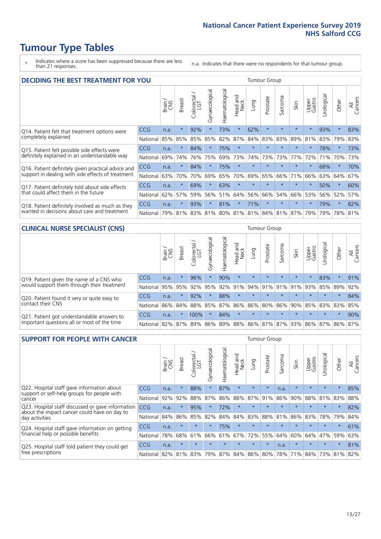- \* Indicates where a score has been suppressed because there are less than 21 responses.
- n.a. Indicates that there were no respondents for that tumour group.

| <b>DECIDING THE BEST TREATMENT FOR YOU</b>         |            |       |               |            |                |                |                         |         | Tumour Group |                                     |         |                 |            |             |                |
|----------------------------------------------------|------------|-------|---------------|------------|----------------|----------------|-------------------------|---------|--------------|-------------------------------------|---------|-----------------|------------|-------------|----------------|
|                                                    |            | Brain | <b>Breast</b> | Colorectal | Gynaecological | Haematological | ead and<br>Neck<br>Head | Lung    | Prostate     | arcoma<br>ιñ                        | Skin    | Upper<br>Gastro | Urological | Other       | All<br>Cancers |
| Q14. Patient felt that treatment options were      | CCG        | n.a.  | $\star$       | 92%        | $\star$        | 73%            | $\star$                 | 62%     | $\star$      | $\star$                             | $\star$ | $\star$         | 93%        | $\ast$      | 83%            |
| completely explained                               | National   | 85%   | 85%           | 85%        | 85%            | 82%            | 87%                     | 84%     | 83%          | 83%                                 | 89%     | 81%             | 83%        | 79%         | 83%            |
| Q15. Patient felt possible side effects were       | CCG        | n.a.  | $\star$       | 84%        |                | 75%            | $\star$                 |         |              |                                     |         | $\star$         | 78%        | $\star$     | 73%            |
| definitely explained in an understandable way      | National   | 69%   | 74%           | 76%        | 75%            | 69%            | 73%                     | 74%     | 73%          | 73%                                 | 77%     | 72%             | 71%        | 70%         | 73%            |
| Q16. Patient definitely given practical advice and | CCG        | n.a.  | $\star$       | 84%        | $\star$        | 75%            | $\star$                 | $\star$ | $\star$      |                                     |         | $\star$         | 68%        | $\star$     | 70%            |
| support in dealing with side effects of treatment  | National   | 63%   | 70%           | 70%        | 69%            | 65%            | 70%                     | 69%     | 65%          | 66%                                 | 71%     | 66%             | 63%        | 64%         | 67%            |
| Q17. Patient definitely told about side effects    | CCG        | n.a.  | $\star$       | 69%        | $\star$        | 63%            | $\ast$                  | $\star$ | $\star$      |                                     |         | $\star$         | 50%        | $\star$     | 60%            |
| that could affect them in the future               | National   | 62%   | 57%           | 59%        | 56%            | 51%            | 64%                     | 56%     | 66%          | 54%                                 | 66%     | 53%             | 56%        | 52%         | 57%            |
| Q18. Patient definitely involved as much as they   | CCG        | n.a.  | $\star$       | 93%        | $\star$        | 81%            | $\star$                 | 71%     | $\star$      | 大                                   | $\star$ | $\star$         | 79%        | $\star$     | 82%            |
| wanted in decisions about care and treatment       | National I | 79%   | 81%           |            |                |                |                         |         |              | 83% 81% 80% 81% 81% 84% 81% 87% 79% |         |                 |            | 79% 78% 81% |                |

#### **CLINICAL NURSE SPECIALIST (CNS)** Tumour Group

|                                             |            | Brain           | <b>Breast</b> | Colorectal<br>LGT | ᠊ᢛ<br>Gynaecologic | $\overline{\sigma}$<br>ت<br>aematologi | Head and<br>Neck        | Lung    | Prostate | Sarcoma | Skin    | Upper<br>Gastro     | $\overline{\sigma}$<br>rologica | Other   | All<br>Cancers |
|---------------------------------------------|------------|-----------------|---------------|-------------------|--------------------|----------------------------------------|-------------------------|---------|----------|---------|---------|---------------------|---------------------------------|---------|----------------|
| Q19. Patient given the name of a CNS who    | <b>CCG</b> | n.a.            |               | 96%               |                    | 90%                                    | $\star$                 |         | $\star$  | $\star$ | $\star$ |                     | 83%                             | $\star$ | 91%            |
| would support them through their treatment  | National   | 95%             | 95%           | 92%               | 95%                | 92%                                    | 91%                     |         | 94% 91%  | 91%     | 91%     | 93%                 | 85%                             | 89%     | 92%            |
| Q20. Patient found it very or quite easy to | CCG        | n.a.            | $\star$       | 92%               |                    | 88%                                    | $\star$                 | $\star$ | $\star$  | $\star$ | $\star$ | $\star$             | $\star$                         | $\star$ | 84%            |
| contact their CNS                           | National   |                 |               | 86% 84% 88% 85%   |                    | 87%                                    | 86% 86% 80%             |         |          |         |         | 86% 90% 85% 83% 83% |                                 |         | 85%            |
| Q21. Patient got understandable answers to  | CCG        | n.a.            | $\star$       | 100%              |                    | 84%                                    | $\star$                 | $\star$ | $\star$  | $\star$ | $\star$ | $\star$             | $\star$                         | $\ast$  | 90%            |
| important questions all or most of the time | National   | 82% 87% 89% 86% |               |                   |                    |                                        | 89% 88% 86% 87% 87% 93% |         |          |         |         | 86% 87%             |                                 | 86%     | 87%            |

| <b>SUPPORT FOR PEOPLE WITH CANCER</b>                                                             |            |       |               |                 |                |                |                         |         | Tumour Group |              |         |                 |            |         |                |
|---------------------------------------------------------------------------------------------------|------------|-------|---------------|-----------------|----------------|----------------|-------------------------|---------|--------------|--------------|---------|-----------------|------------|---------|----------------|
|                                                                                                   |            | Brain | <b>Breast</b> | ╮<br>Colorectal | Gynaecological | Haematological | ead and<br>Neck<br>Head | Lung    | Prostate     | arcoma<br>ιñ | Skin    | Upper<br>Gastro | Urological | Other   | All<br>Cancers |
| Q22. Hospital staff gave information about<br>support or self-help groups for people with         | CCG        | n.a.  | $\star$       | 88%             | $\star$        | 87%            | $\star$                 | $\star$ | $\star$      | n.a.         | $\star$ | $\star$         | $\star$    | $\star$ | 85%            |
| cancer                                                                                            | National   | 92%   | 92%           | 88%             | 87%            | 86%            | 88%                     | 87%     | 91%          | 86%          | 90%     | 88%             | 81%        | 83%     | 88%            |
| Q23. Hospital staff discussed or gave information<br>about the impact cancer could have on day to | <b>CCG</b> | n.a.  | $\star$       | 95%             | $\star$        | 72%            | $\star$                 | $\star$ | $\star$      | $\star$      | $\star$ | $\star$         | $\star$    | $\star$ | 82%            |
| day activities                                                                                    | National   | 84%   | 86%           | 85%             | 82%            | 84%            | 84%                     | 83%     | 88%          | 81%          | 86%     | 83%             | 78%        | 79%     | 84%            |
| Q24. Hospital staff gave information on getting                                                   | <b>CCG</b> | n.a.  | $\star$       | $\star$         | $\star$        | 75%            | $\star$                 | $\star$ | $\star$      | $\star$      | $\star$ | $\star$         | $\star$    | $\ast$  | 61%            |
| financial help or possible benefits                                                               | National   | 78%   | 68%           | 61%             | 66%            | 61%            | 67%                     | 72%     | 55%          | 64%          | 60%     | 64%             | 47%        | 59%     | 63%            |
| Q25. Hospital staff told patient they could get                                                   | CCG        | n.a.  | $\star$       | $\star$         | $\star$        | $\star$        | $\star$                 | $\star$ | $\star$      | n.a.         | $\star$ | $\star$         | $\star$    | $\star$ | 81%            |
| free prescriptions                                                                                | National   | 82%   | 81%           | 83%             | 79%            | 87%            | 84%                     | 86%     | 80%          | 78%          | 71%     | 84%             | 73%        | 81%     | 82%            |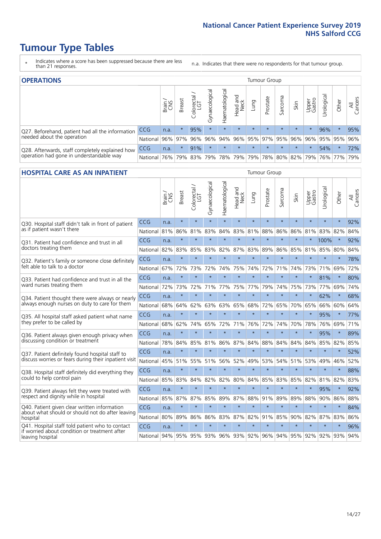- \* Indicates where a score has been suppressed because there are less than 21 responses.
- n.a. Indicates that there were no respondents for that tumour group.

| <b>OPERATIONS</b>                                                                           |            |               |               |            |                |                |                                         |         | Tumour Group |         |         |                 |                |         |                |  |  |
|---------------------------------------------------------------------------------------------|------------|---------------|---------------|------------|----------------|----------------|-----------------------------------------|---------|--------------|---------|---------|-----------------|----------------|---------|----------------|--|--|
|                                                                                             |            | Brain.<br>CNS | <b>Breast</b> | Colorectal | Gynaecological | Haematological | Head and<br>Neck                        | Dung    | Prostate     | Sarcoma | Skin    | Upper<br>Gastro | σ<br>Jrologica | Other   | All<br>Cancers |  |  |
| Q27. Beforehand, patient had all the information                                            | <b>CCG</b> | n.a.          | $\star$       | 95%        | $\star$        | $\star$        | $\star$                                 | $\star$ | $\star$      | $\star$ | $\star$ | $\star$         | 96%            | $\star$ | 95%            |  |  |
| needed about the operation                                                                  | National   | 96%           | 97%           | 96%        | 96%            |                | 94% 96% 95% 97% 95% 96%                 |         |              |         |         | 96%             |                | 95% 95% | 96%            |  |  |
| Q28. Afterwards, staff completely explained how<br>operation had gone in understandable way | <b>CCG</b> | n.a.          | $\star$       | 91%        | $\star$        | $\star$        | $\star$                                 | $\star$ | $\star$      | $\star$ | $\star$ | $\star$         | 54%            | $\star$ | 72%            |  |  |
|                                                                                             | National I | 76%           |               | 79% 83%    | 79%            |                | 78%   79%   79%   78%   80%   82%   79% |         |              |         |         |                 |                | 76% 77% | 79%            |  |  |

#### **HOSPITAL CARE AS AN INPATIENT** Tumour Group

|                                                                                                                      |            | Brain | Breast  | Colorectal /<br>LGT | Gynaecological | Haematological | Head and<br>Neck | Lung    | Prostate | Sarcoma | Skin    | Upper<br>Gastro | Urological | Other   | All<br>Cancers |
|----------------------------------------------------------------------------------------------------------------------|------------|-------|---------|---------------------|----------------|----------------|------------------|---------|----------|---------|---------|-----------------|------------|---------|----------------|
| Q30. Hospital staff didn't talk in front of patient                                                                  | CCG        | n.a.  | $\star$ | $\star$             | $\star$        | $\star$        | $\star$          | $\star$ | $\star$  | $\star$ | $\star$ | $\star$         | $\star$    | $\star$ | 92%            |
| as if patient wasn't there                                                                                           | National   | 81%   | 86%     | 81%                 | 83%            | 84%            | 83%              | 81%     | 88%      | 86%     | 86%     | 81%             | 83%        | 82%     | 84%            |
| O31. Patient had confidence and trust in all                                                                         | <b>CCG</b> | n.a.  | $\star$ | $\star$             | $\star$        | $\star$        | $\star$          | $\star$ | $\star$  | $\star$ | $\star$ |                 | 100%       | $\star$ | 92%            |
| doctors treating them                                                                                                | National   | 82%   | 83%     | 85%                 | 83%            | 82%            |                  | 87% 83% | 89%      | 86%     | 85%     | 81%             | 85%        | 80%     | 84%            |
| Q32. Patient's family or someone close definitely<br>felt able to talk to a doctor                                   | CCG        | n.a.  | $\star$ | $\star$             | $\star$        | $\star$        | $\star$          | $\star$ | $\star$  | $\star$ | $\star$ | $\star$         | $\star$    | $\star$ | 78%            |
|                                                                                                                      | National   | 67%   | 72%     | 73%                 | 72%            | 74%            | 75%              | 74%     | 72%      | 71%     | 74%     | 73%             | 71%        | 69%     | 72%            |
| Q33. Patient had confidence and trust in all the<br>ward nurses treating them                                        | CCG        | n.a.  | $\star$ | $\star$             | $\star$        | $\star$        | $\star$          | $\star$ | $\star$  | $\star$ | $\star$ | $\star$         | 81%        | $\star$ | 80%            |
|                                                                                                                      | National   | 72%   | 73%     | 72%                 | 71%            | 77%            | 75%              | 77%     | 79%      | 74%     | 75%     | 73%             | 77%        | 69%     | 74%            |
| Q34. Patient thought there were always or nearly<br>always enough nurses on duty to care for them                    | CCG        | n.a.  | $\star$ | $\star$             | $\star$        | $\star$        | $\star$          | $\star$ | $\star$  | $\star$ | $\star$ | $\star$         | 62%        | $\star$ | 68%            |
|                                                                                                                      | National   | 68%   | 64%     | 62%                 | 63%            | 63%            | 65%              | 68%     | 72%      | 65%     | 70%     | 65%             | 66%        | 60%     | 64%            |
| Q35. All hospital staff asked patient what name                                                                      | CCG        | n.a.  | $\star$ | $\star$             | $\star$        | $\star$        | $\star$          | $\star$ | $\star$  | $\star$ | $\star$ | $\star$         | 95%        | $\star$ | 77%            |
| they prefer to be called by                                                                                          | National   | 68%   | 62%     | 74%                 | 65%            | 72%            | 71%              | 76%     | 72%      | 74%     | 70%     | 78%             | 76%        | 69%     | 71%            |
| Q36. Patient always given enough privacy when                                                                        | CCG        | n.a.  | $\star$ | $\star$             | $\star$        | $\star$        | $\star$          | $\star$ | $\star$  | $\star$ | $\star$ |                 | 95%        | $\star$ | 89%            |
| discussing condition or treatment                                                                                    | National   | 78%   | 84%     | 85%                 | 81%            | 86%            | 87%              | 84%     | 88%      | 84%     | 84%     | 84%             | 85%        | 82%     | 85%            |
| Q37. Patient definitely found hospital staff to                                                                      | CCG        | n.a.  | $\star$ | $\star$             | $\star$        | $\star$        | $\star$          | $\star$ | $\star$  | $\star$ | $\star$ | $\star$         | $\star$    | $\star$ | 52%            |
| discuss worries or fears during their inpatient visit                                                                | National   | 45%   | 51%     | 55%                 | 51%            | 56%            | 52%              | 49%     | 53%      | 54%     | 51%     | 53%             | 49%        | 46%     | 52%            |
| Q38. Hospital staff definitely did everything they                                                                   | CCG        | n.a.  | $\star$ | $\star$             | $\star$        | $\star$        | $\star$          | $\star$ | $\star$  | $\star$ | $\star$ | $\star$         | $\star$    | $\star$ | 88%            |
| could to help control pain                                                                                           | National   | 85%   | 83%     | 84%                 | 82%            | 82%            | 80%              | 84%     | 85%      | 83%     | 85%     | 82%             | 81%        | 82%     | 83%            |
| Q39. Patient always felt they were treated with                                                                      | CCG        | n.a.  | $\star$ | $\star$             | $\star$        | $\star$        | $\star$          | $\star$ | $\star$  | $\star$ | $\star$ |                 | 95%        | $\star$ | 92%            |
| respect and dignity while in hospital                                                                                | National   | 85%   | 87%     | 87%                 | 85%            | 89%            |                  | 87% 88% | 91%      | 89%     | 89%     | 88%             | 90%        | 86%     | 88%            |
| Q40. Patient given clear written information<br>about what should or should not do after leaving                     | CCG        | n.a.  | $\star$ | $\star$             | $\star$        | $\star$        | $\star$          | $\star$ | $\star$  | $\star$ | $\star$ | $\star$         | $\star$    | $\star$ | 84%            |
| hospital                                                                                                             | National   | 80%   | 89%     | 86%                 | 86%            | 83%            | 87%              | 82%     | 91%      | 85%     | 90%     | 82%             | 87%        | 83%     | 86%            |
| Q41. Hospital staff told patient who to contact<br>if worried about condition or treatment after<br>leaving hospital | CCG        | n.a.  | $\star$ | $\star$             | $\star$        | $\star$        | $\star$          | $\star$ | $\star$  | $\star$ | $\star$ | $\star$         | $\star$    | $\star$ | 96%            |
|                                                                                                                      | National   | 94%   | 95%     | 95%                 |                | 93% 96%        |                  | 93% 92% | 96%      | 94%     |         | 95% 92%         | 92%        | 93%     | 94%            |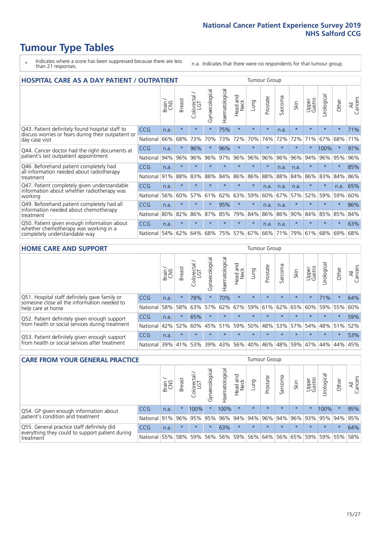- \* Indicates where a score has been suppressed because there are less than 21 responses.
- n.a. Indicates that there were no respondents for that tumour group.

| <b>HOSPITAL CARE AS A DAY PATIENT / OUTPATIENT</b><br><b>Tumour Group</b>                                             |            |       |               |                       |                |                |                         |         |          |         |         |                 |            |         |                |
|-----------------------------------------------------------------------------------------------------------------------|------------|-------|---------------|-----------------------|----------------|----------------|-------------------------|---------|----------|---------|---------|-----------------|------------|---------|----------------|
|                                                                                                                       |            | Brain | <b>Breast</b> | olorectal<br>LGT<br>Ũ | Gynaecological | Haematological | ead and<br>Neck<br>Head | Lung    | Prostate | Sarcoma | Skin    | Upper<br>Gastro | Urological | Other   | All<br>Cancers |
| Q43. Patient definitely found hospital staff to                                                                       | CCG        | n.a.  | $\star$       | $\star$               | $\star$        | 75%            | $\star$                 | $\star$ | $\star$  | n.a.    | $\star$ | $\star$         | $\star$    | $\star$ | 71%            |
| discuss worries or fears during their outpatient or<br>day case visit                                                 | National   | 66%   | 68%           | 73%                   | 70%            | 73%            | 72%                     | 70%     | 74%      | 72%     | 72%     | 71%             | 67%        | 68%     | 71%            |
| Q44. Cancer doctor had the right documents at<br>patient's last outpatient appointment                                | CCG        | n.a.  | $\star$       | 96%                   | $\star$        | 96%            | $\star$                 | $\star$ | $\star$  | $\star$ | $\star$ | $\star$         | 100%       | $\star$ | 97%            |
|                                                                                                                       | National   | 94%   | 96%           | 96%                   | 96%            | 97%            | 96%                     | 96%     | 96%      | 96%     | 96%     | 94%             | 96%        | 95%     | 96%            |
| Q46. Beforehand patient completely had<br>all information needed about radiotherapy                                   | <b>CCG</b> | n.a.  | $\star$       | $\star$               |                |                | $\star$                 | $\star$ | $\star$  | n.a.    | n.a.    | $\star$         | $\star$    | $\star$ | 85%            |
| treatment                                                                                                             | National   | 91%   | 88%           | 83%                   | 88%            | 84%            | 86%                     | 86%     | 88%      | 88%     | 84%     | 86%             | 83%        | 84%     | 86%            |
| Q47. Patient completely given understandable<br>information about whether radiotherapy was                            | <b>CCG</b> | n.a.  | $\star$       | $\star$               | $\star$        | $\star$        | $\star$                 | $\star$ | n.a.     | n.a.    | n.a.    | $\star$         | $\star$    | n.a.    | 65%            |
| working                                                                                                               | National   | 56%   | 60%           | 57%                   | 61%            | 62%            | 63%                     | 59%     | 60%      | 67%     | 57%     | 52%             | 59%        | 59%     | 60%            |
| Q49. Beforehand patient completely had all                                                                            | CCG        | n.a.  | $\star$       | $\star$               | $\star$        | 95%            | $\star$                 | $\star$ | n.a.     | n.a.    | $\star$ | $\star$         | $\star$    | $\star$ | 86%            |
| information needed about chemotherapy<br>treatment                                                                    | National   | 80%   | 82%           | 86%                   | 87%            | 85%            | 79%                     | 84%     | 86%      | 86%     | 90%     | 84%             | 85%        | 85%     | 84%            |
| Q50. Patient given enough information about<br>whether chemotherapy was working in a<br>completely understandable way | <b>CCG</b> | n.a.  | $\star$       | $\star$               |                |                | $\star$                 | $\star$ | n.a.     | n.a.    | $\star$ | $\star$         |            | $\star$ | 63%            |
|                                                                                                                       | National   | 54%   | 62%           | 64%                   | 68%            | 75%            |                         | 57% 67% | 66%      | 71%     | 79%     | 61%             | 68%        | 69%     | 68%            |

#### **HOME CARE AND SUPPORT** Tumour Group

|                                                                                                                   |              | Brain | <b>Breast</b> | Colorectal<br>LGT | ᢛ<br>Gynaecologic | Haematological | ad and<br>Neck<br>Head | <b>Dung</b> | Prostate | Sarcoma | Skin    | Upper<br>Gastro | Irological      | Other   | All<br>Cancers |
|-------------------------------------------------------------------------------------------------------------------|--------------|-------|---------------|-------------------|-------------------|----------------|------------------------|-------------|----------|---------|---------|-----------------|-----------------|---------|----------------|
| Q51. Hospital staff definitely gave family or<br>someone close all the information needed to<br>help care at home | <b>CCG</b>   | n.a.  | 头             | 78%               |                   | 70%            | $\star$                | $\star$     | $\star$  | $\star$ | $\star$ | $\star$         | 71%             | $\star$ | 64%            |
|                                                                                                                   | National     | 58%   | 58%           | 63%               | 57%               | 62%            | 67%                    | 59%         | 61%      |         | 62% 65% | 60%             | 59%             | 55%     | 60%            |
| Q52. Patient definitely given enough support<br>from health or social services during treatment                   | <b>CCG</b>   | n.a.  | $\star$       | 65%               | $\star$           | $\star$        | $\star$                | $\star$     | $\star$  | $\star$ | $\star$ | $\star$         | $\star$         | $\star$ | 59%            |
|                                                                                                                   | National     | 42%   | 52%           | 60%               | 45%               | $ 51\% $       | 59%                    | 50%         | 48%      |         | 53% 57% |                 | 54%   48%   51% |         | 52%            |
| Q53. Patient definitely given enough support<br>from health or social services after treatment                    | CCG          | n.a.  | $\star$       | $\star$           | $\star$           | $\star$        | $\star$                | $\star$     | $\star$  | $\star$ | $\star$ | $\star$         | $\star$         | $\star$ | 53%            |
|                                                                                                                   | National 39% |       | 41% 53%       |                   | 39%               |                | 43% 56%                | 40%         | 46%      |         | 48% 59% |                 | 47%   44%   44% |         | 45%            |

| <b>CARE FROM YOUR GENERAL PRACTICE</b>                                                                     |              |       |               |                   |                |                | Tumour Group     |         |          |         |         |                 |                                     |         |                |
|------------------------------------------------------------------------------------------------------------|--------------|-------|---------------|-------------------|----------------|----------------|------------------|---------|----------|---------|---------|-----------------|-------------------------------------|---------|----------------|
|                                                                                                            |              | Brain | <b>Breast</b> | Colorectal<br>LGT | Gynaecological | Haematological | Head and<br>Neck | Lung    | Prostate | Sarcoma | Skin    | Upper<br>Gastro | Urological                          | Other   | All<br>Cancers |
| Q54. GP given enough information about                                                                     | CCG          | n.a.  |               | 100%              |                | 100%           | $\star$          | $\star$ | $\star$  | $\star$ | $\star$ | $\star$         | 100%                                | $\star$ | 95%            |
| patient's condition and treatment                                                                          | National 91% |       |               | 96% 95%           | 95%            |                |                  |         |          |         |         |                 | 96% 94% 94% 96% 94% 96% 93% 95% 94% |         | 95%            |
| Q55. General practice staff definitely did<br>everything they could to support patient during<br>treatment | CCG          | n.a.  | $\star$       | $\star$           | $\star$        | 63%            | $\star$          | $\star$ | $\star$  | $\star$ | $\star$ | $\star$         | $\star$                             | $\star$ | 64%            |
|                                                                                                            | National     | 55%   |               | 58% 59%           | 56%            |                | 56% 59%          |         | 56% 64%  |         | 56% 65% | 59%             |                                     | 59% 55% | 58%            |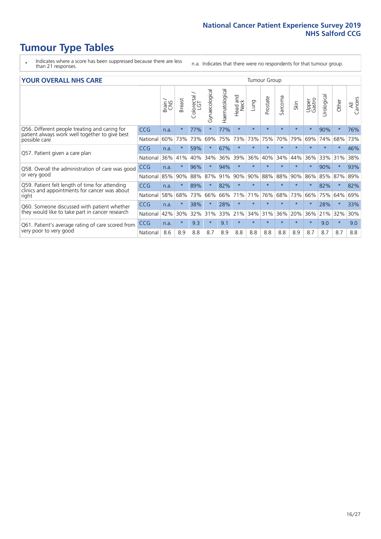- \* Indicates where a score has been suppressed because there are less than 21 responses.
- n.a. Indicates that there were no respondents for that tumour group.

#### **YOUR OVERALL NHS CARE** THE CONSTRUCTION OF THE THROUP GROUP TUMOUR GROUP

| I YUN YENAEL NI IYOANE |       |               |                                 |                |                |                         |         |          |         |              |                 |               |          |                |
|------------------------|-------|---------------|---------------------------------|----------------|----------------|-------------------------|---------|----------|---------|--------------|-----------------|---------------|----------|----------------|
|                        | Brain | <b>Breast</b> | ∽<br>olorectal<br>LGT<br>$\cup$ | Gynaecological | Haematological | aad and<br>Neck<br>Head | Lung    | Prostate | Sarcoma | Skin         | Upper<br>Gastro | ී<br>Urologic | Other    | All<br>Cancers |
| <b>CCG</b>             | n.a.  | $\star$       | 77%                             | $\star$        | 77%            | $\star$                 | $\star$ | $\star$  | $\star$ | $\star$      | $\star$         | 90%           | $\ast$   | 76%            |
| National               | 60%   | 73%           | 73%                             | 69%            | 75%            | 73%                     | 73%     | 75%      | 70%     | 79%          | 69%             | 74%           | 68%      | 73%            |
| <b>CCG</b>             | n.a.  | $\star$       | 59%                             |                | 67%            | $\ast$                  | $\star$ | $\star$  | $\star$ | $\star$      | $\star$         | $\star$       | $\star$  | 46%            |
| National               | 36%   | 41%           | 40%                             | 34%            | 36%            | 39%                     | 36%     | 40%      | 34%     | 44%          | 36%             | 33%           | 31%      | 38%            |
| <b>CCG</b>             | n.a.  | $\star$       | 96%                             |                | 94%            | $\star$                 | $\star$ | $\star$  | $\star$ | $\star$      |                 | 90%           | $\star$  | 93%            |
| National               | 85%   | 90%           | 88%                             | 87%            | 91%            | 90%                     | 90%     | 88%      | 88%     | 90%          | 86%             |               |          | 89%            |
| <b>CCG</b>             | n.a.  | $\ast$        | 89%                             |                | 82%            | $\star$                 | $\star$ | $\star$  | $\star$ | $\star$      |                 | 82%           | $^\star$ | 82%            |
| National               | 58%   | 68%           | 73%                             | 66%            | 66%            | 71%                     | 71%     | 76%      | 68%     | 73%          | 66%             | 75%           | 64%      | 69%            |
| <b>CCG</b>             | n.a.  | $\star$       | 38%                             |                | 28%            | $\ast$                  | $\star$ | $\star$  | $\star$ | $\star$      |                 | 28%           | $\star$  | 33%            |
| National               | 42%   | 30%           | 32%                             | 31%            | 33%            | 21%                     | 34%     | 31%      | 36%     | 20%          | 36%             | 21%           | 32%      | 30%            |
| <b>CCG</b>             | n.a.  | $\star$       | 9.3                             | $\star$        | 9.1            | $\star$                 | $\star$ | $\star$  | $\star$ | $\star$      | $\star$         | 9.0           | $\ast$   | 9.0            |
| National               | 8.6   | 8.9           | 8.8                             | 8.7            | 8.9            | 8.8                     | 8.8     | 8.8      | 8.8     | 8.9          | 8.7             | 8.7           | 8.7      | 8.8            |
|                        |       |               |                                 |                |                |                         |         |          |         | iamoar oroap |                 |               | 85%      | 87%            |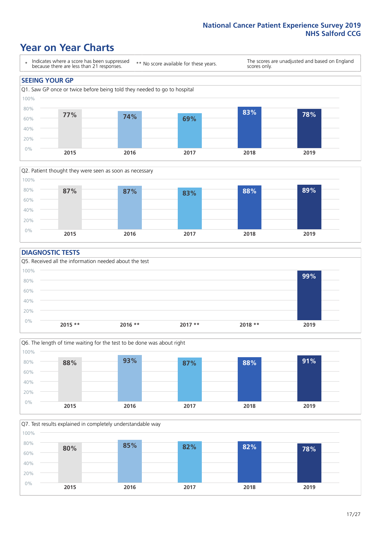### **Year on Year Charts**





#### **DIAGNOSTIC TESTS**





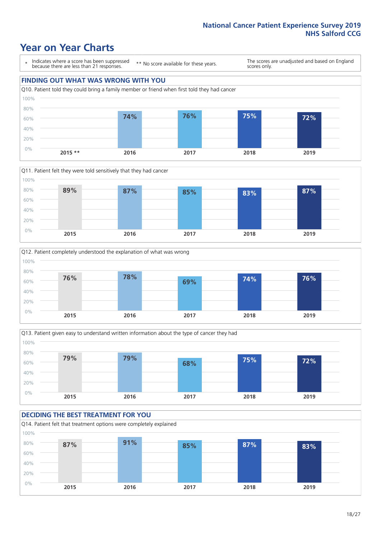## **Year on Year Charts**

\* Indicates where a score has been suppressed because there are less than 21 responses.

\*\* No score available for these years.

The scores are unadjusted and based on England scores only.

### **FINDING OUT WHAT WAS WRONG WITH YOU** Q10. Patient told they could bring a family member or friend when first told they had cancer 0% 20% 40% 60% 80% 100% **2015 \*\* 2016 2017 2018 2019 74% 76% 75% 72%**







### **DECIDING THE BEST TREATMENT FOR YOU**

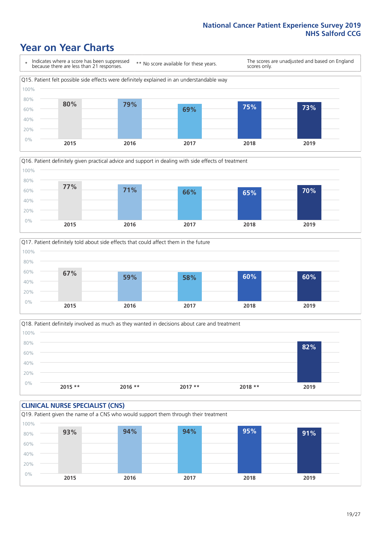### **Year on Year Charts**







Q18. Patient definitely involved as much as they wanted in decisions about care and treatment  $0%$ 20% 40% 60% 80% 100% **2015 \*\* 2016 \*\* 2017 \*\* 2018 \*\* 2019 82%**

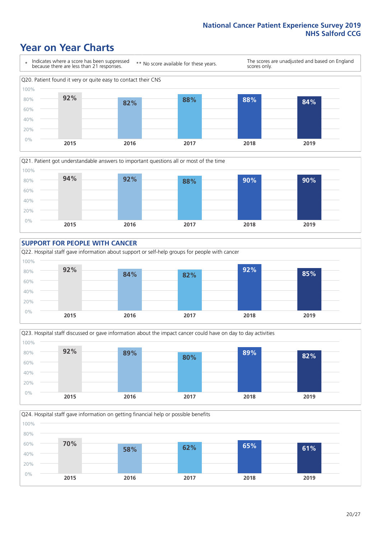### **Year on Year Charts**











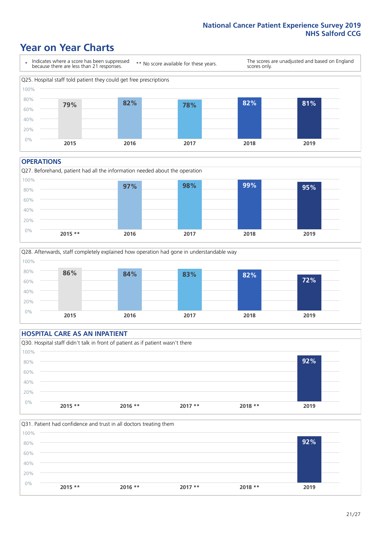### **Year on Year Charts**



#### **OPERATIONS**





### **HOSPITAL CARE AS AN INPATIENT** Q30. Hospital staff didn't talk in front of patient as if patient wasn't there 0% 20% 40% 60% 80% 100% **2015 \*\* 2016 \*\* 2017 \*\* 2018 \*\* 2019 92%**

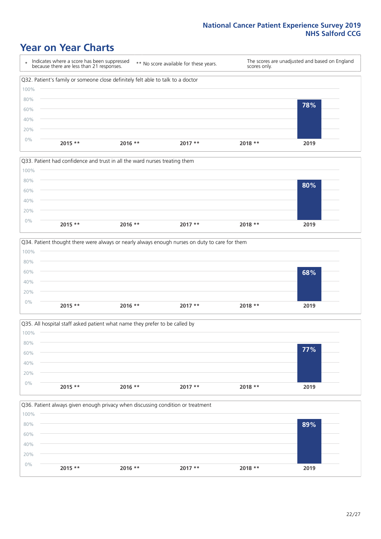### **Year on Year Charts**









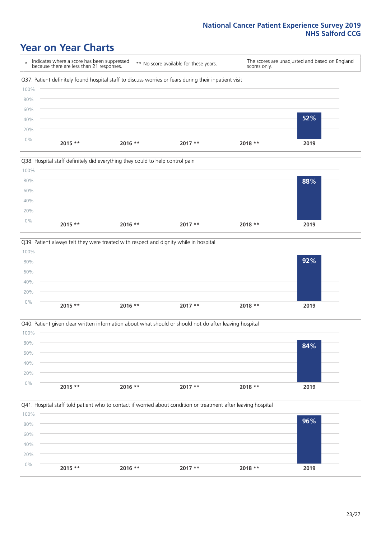### **Year on Year Charts**

\* Indicates where a score has been suppressed because there are less than 21 responses. \*\* No score available for these years. The scores are unadjusted and based on England scores only. Q37. Patient definitely found hospital staff to discuss worries or fears during their inpatient visit 0% 20% 40% 60% 80% 100% **2015 \*\* 2016 \*\* 2017 \*\* 2018 \*\* 2019 52%**







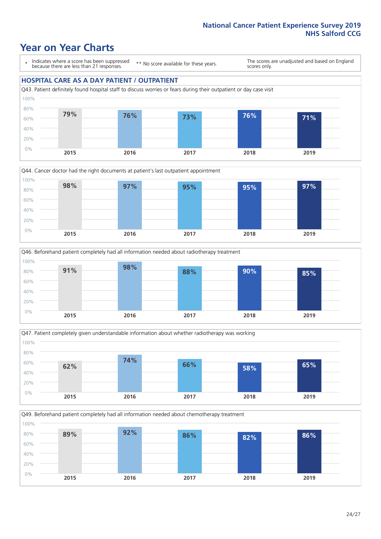### **Year on Year Charts**

\* Indicates where a score has been suppressed because there are less than 21 responses.

\*\* No score available for these years.

The scores are unadjusted and based on England scores only.

### **HOSPITAL CARE AS A DAY PATIENT / OUTPATIENT**









Q49. Beforehand patient completely had all information needed about chemotherapy treatment 0% 20% 40% 60% 80% 100% **2015 2016 2017 2018 2019 89% 92% 86% 82% 86%**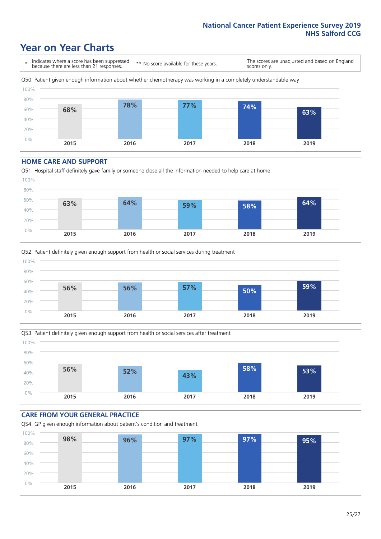### **Year on Year Charts**

\* Indicates where a score has been suppressed because there are less than 21 responses. \*\* No score available for these years. The scores are unadjusted and based on England scores only. Q50. Patient given enough information about whether chemotherapy was working in a completely understandable way 0% 20% 40% 60% 80% 100% **2015 2016 2017 2018 2019 68% 78% 77% 74% 63%**

#### **HOME CARE AND SUPPORT**







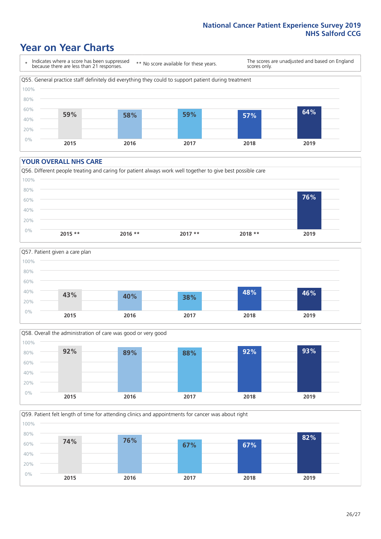### **Year on Year Charts**

\* Indicates where a score has been suppressed because there are less than 21 responses.

\*\* No score available for these years.

The scores are unadjusted and based on England scores only.



#### **YOUR OVERALL NHS CARE**







Q59. Patient felt length of time for attending clinics and appointments for cancer was about right 0% 20% 40% 60% 80% 100% **2015 2016 2017 2018 2019 74% 76% 67% 67% 82%**